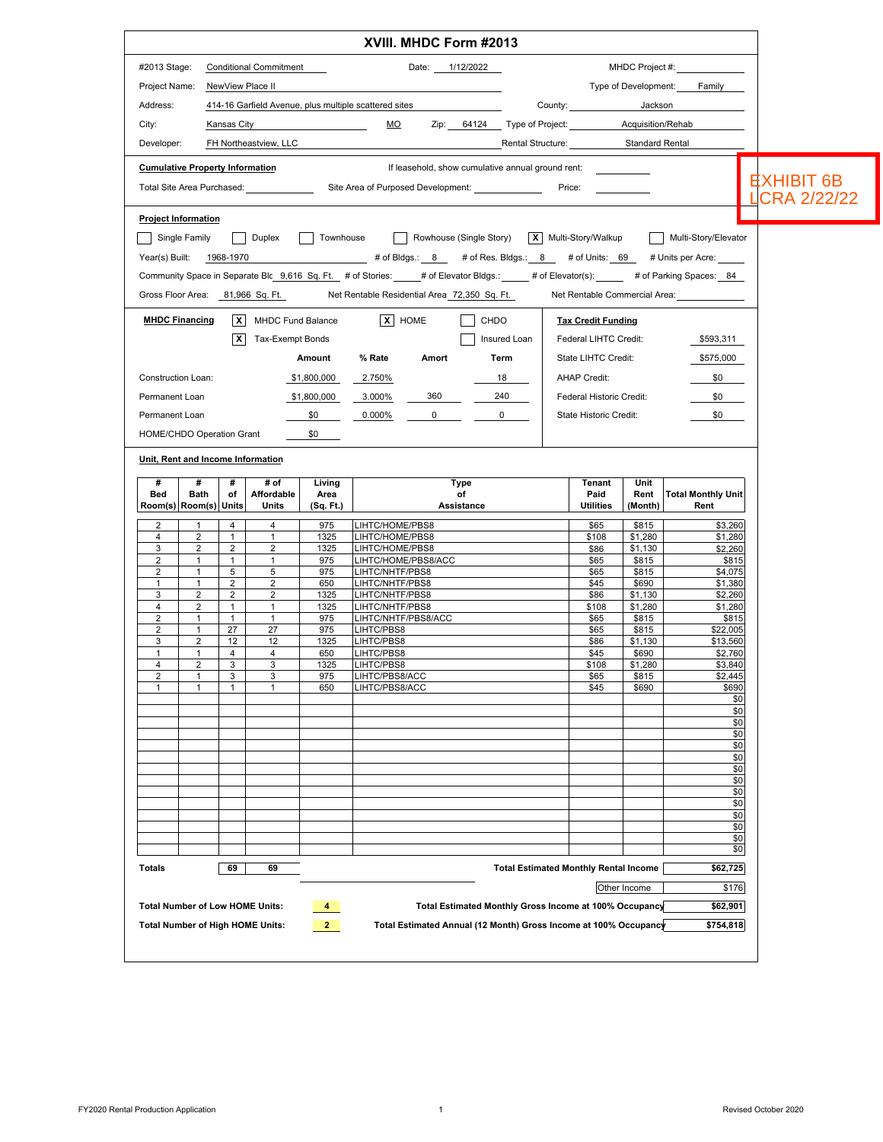| #2013 Stage:                           |                   |                                |                                  |                    | XVIII. MHDC Form #2013                                                                                                      |                                               |                           |                  |                                   |                     |
|----------------------------------------|-------------------|--------------------------------|----------------------------------|--------------------|-----------------------------------------------------------------------------------------------------------------------------|-----------------------------------------------|---------------------------|------------------|-----------------------------------|---------------------|
|                                        |                   |                                | <b>Conditional Commitment</b>    |                    | Date: 1/12/2022                                                                                                             |                                               |                           |                  | MHDC Project #:                   |                     |
| Project Name:                          |                   |                                | NewView Place II                 |                    |                                                                                                                             |                                               |                           |                  | Type of Development: Family       |                     |
| Address:                               |                   |                                |                                  |                    | 414-16 Garfield Avenue, plus multiple scattered sites                                                                       |                                               | County: <b>Example</b>    | Jackson          |                                   |                     |
| City:                                  |                   | Kansas City                    |                                  |                    | <u>MO</u>                                                                                                                   | Zip: 64124 Type of Project: Acquisition/Rehab |                           |                  |                                   |                     |
| Developer:                             |                   |                                | FH Northeastview, LLC            |                    |                                                                                                                             | Rental Structure: Standard Rental             |                           |                  |                                   |                     |
|                                        |                   |                                |                                  |                    |                                                                                                                             |                                               |                           |                  |                                   |                     |
| <b>Cumulative Property Information</b> |                   |                                |                                  |                    | If leasehold, show cumulative annual ground rent:                                                                           |                                               |                           |                  |                                   | <b>EXHIBIT 6B</b>   |
|                                        |                   |                                |                                  |                    | Site Area of Purposed Development: ______________                                                                           |                                               | Price:                    |                  |                                   | <b>LCRA 2/22/22</b> |
| <b>Project Information</b>             |                   |                                |                                  |                    |                                                                                                                             |                                               |                           |                  |                                   |                     |
|                                        | Single Family     |                                |                                  | Duplex   Townhouse | Rowhouse (Single Story)   X   Multi-Story/Walkup   Multi-Story/Elevator                                                     |                                               |                           |                  |                                   |                     |
| Year(s) Built: 1968-1970               |                   |                                |                                  |                    |                                                                                                                             |                                               |                           |                  |                                   |                     |
|                                        |                   |                                |                                  |                    | Community Space in Separate Blc 9,616 Sq. Ft. # of Stories: # of Elevator Bldgs.: # of Elevator(s): # of Parking Spaces: 84 |                                               |                           |                  |                                   |                     |
|                                        |                   |                                | Gross Floor Area: 81,966 Sq. Ft. |                    | Net Rentable Residential Area 72,350 Sq. Ft.                                                                                |                                               |                           |                  | Net Rentable Commercial Area:     |                     |
| <b>MHDC Financing</b>                  |                   |                                | X MHDC Fund Balance              |                    | X HOME                                                                                                                      | CHDO                                          | <b>Tax Credit Funding</b> |                  |                                   |                     |
|                                        |                   | X                              | Tax-Exempt Bonds                 |                    |                                                                                                                             | Insured Loan                                  | Federal LIHTC Credit:     |                  | \$593,311                         |                     |
|                                        |                   |                                |                                  | Amount             | % Rate<br>Amort                                                                                                             | Term                                          | State LIHTC Credit:       |                  | \$575,000                         |                     |
|                                        |                   |                                |                                  |                    |                                                                                                                             |                                               |                           |                  |                                   |                     |
| Construction Loan:                     |                   |                                |                                  | \$1,800,000        | 2.750%                                                                                                                      | 18                                            | <b>AHAP Credit:</b>       |                  | \$0                               |                     |
| Permanent Loan                         |                   |                                |                                  | \$1,800,000        | 360<br>3.000%                                                                                                               | 240                                           | Federal Historic Credit:  |                  | \$0                               |                     |
| Permanent Loan                         |                   |                                |                                  | \$0                | 0.000%<br>$0 \qquad \qquad$                                                                                                 | $\overline{0}$                                | State Historic Credit:    |                  | \$0                               |                     |
| HOME/CHDO Operation Grant              |                   |                                |                                  | \$0                |                                                                                                                             |                                               |                           |                  |                                   |                     |
| Unit, Rent and Income Information      |                   |                                |                                  |                    |                                                                                                                             |                                               |                           |                  |                                   |                     |
| #                                      | #                 | #                              | # of                             | Living             | <b>Type</b>                                                                                                                 |                                               | Tenant                    | Unit             |                                   |                     |
| Bed<br>Room(s) Room(s) Units           | Bath              | оf                             | Affordable<br>Units              | Area<br>(Sq. Ft.)  | of<br>Assistance                                                                                                            |                                               | Paid<br><b>Utilities</b>  | Rent<br>(Month)  | <b>Total Monthly Unit</b><br>Rent |                     |
| 2                                      | $\overline{1}$    | 4                              | 4                                | 975                | LIHTC/HOME/PBS8                                                                                                             |                                               | \$65                      | \$815            | \$3,260                           |                     |
| $\overline{4}$                         | 2                 | $\mathbf{1}$                   | $\mathbf{1}$                     | 1325               | LIHTC/HOME/PBS8                                                                                                             |                                               | \$108                     | \$1,280          | \$1,280                           |                     |
| 3<br>2                                 | 2<br>$\mathbf{1}$ | $\overline{2}$<br>$\mathbf{1}$ | 2<br>$\mathbf{1}$                | 1325<br>975        | LIHTC/HOME/PBS8<br>LIHTC/HOME/PBS8/ACC                                                                                      |                                               | \$86<br>\$65              | \$1,130<br>\$815 | \$2,260<br>\$815                  |                     |
| 2                                      | $\mathbf{1}$      | 5                              | 5                                | 975                | LIHTC/NHTF/PBS8                                                                                                             |                                               | \$65                      | \$815            | \$4,075                           |                     |
| $\mathbf{1}$                           | $\mathbf{1}$      | $\overline{2}$                 | $\overline{2}$                   | 650                | <b>IHTC/NHTF/PBS8</b>                                                                                                       |                                               | \$45                      | \$690            | \$1,380                           |                     |
| 3                                      | 2                 | 2                              | $\overline{2}$                   | 1325               | <b>IHTC/NHTF/PBS8</b>                                                                                                       |                                               | \$86                      | \$1,130          | \$2,260                           |                     |
| 4<br>$\overline{2}$                    | 2<br>$\mathbf{1}$ | $\mathbf{1}$<br>$\mathbf{1}$   | $\mathbf{1}$<br>$\mathbf{1}$     | 1325<br>975        | .IHTC/NHTF/PBS8<br>LIHTC/NHTF/PBS8/ACC                                                                                      |                                               | \$108<br>\$65             | \$1,280<br>\$815 | \$1,280<br>\$815                  |                     |
| $\overline{2}$                         | $\mathbf{1}$      | 27                             | 27                               | 975                | LIHTC/PBS8                                                                                                                  |                                               | \$65                      | \$815            | \$22,005                          |                     |
| 3                                      | 2                 | 12                             | 12                               | 1325               | LIHTC/PBS8                                                                                                                  |                                               | \$86                      | \$1,130          | \$13,560                          |                     |
| $\mathbf{1}$                           | $\mathbf{1}$      | $\overline{4}$                 | 4                                | 650                | LIHTC/PBS8                                                                                                                  |                                               | \$45                      | \$690            | \$2,760                           |                     |
| $\overline{4}$                         | 2                 | 3                              | 3                                | 1325               | LIHTC/PBS8                                                                                                                  |                                               | \$108                     | \$1,280          | \$3,840                           |                     |
|                                        | 1<br>1            | 3<br>$\mathbf{1}$              | 3<br>1                           | 975<br>650         | <b>IHTC/PBS8/ACC</b><br><b>IHTC/PBS8/ACC</b>                                                                                |                                               | \$65<br>\$45              | \$815<br>\$690   | \$2,445<br>\$690                  |                     |
| 2                                      |                   |                                |                                  |                    |                                                                                                                             |                                               |                           |                  | \$0                               |                     |
| 1                                      |                   |                                |                                  |                    |                                                                                                                             |                                               |                           |                  | \$0                               |                     |
|                                        |                   |                                |                                  |                    |                                                                                                                             |                                               |                           |                  | \$0<br>\$0                        |                     |
|                                        |                   |                                |                                  |                    |                                                                                                                             |                                               |                           |                  |                                   |                     |
|                                        |                   |                                |                                  |                    |                                                                                                                             |                                               |                           |                  | \$0                               |                     |
|                                        |                   |                                |                                  |                    |                                                                                                                             |                                               |                           |                  | \$0                               |                     |
|                                        |                   |                                |                                  |                    |                                                                                                                             |                                               |                           |                  | \$0                               |                     |
|                                        |                   |                                |                                  |                    |                                                                                                                             |                                               |                           |                  | \$0                               |                     |
|                                        |                   |                                |                                  |                    |                                                                                                                             |                                               |                           |                  | \$0<br>\$0                        |                     |
|                                        |                   |                                |                                  |                    |                                                                                                                             |                                               |                           |                  | \$0                               |                     |
|                                        |                   |                                |                                  |                    |                                                                                                                             |                                               |                           |                  | \$0                               |                     |
|                                        |                   |                                |                                  |                    |                                                                                                                             |                                               |                           |                  | \$0<br>\$0                        |                     |
| Totals                                 |                   | 69                             | 69                               |                    |                                                                                                                             | <b>Total Estimated Monthly Rental Income</b>  |                           |                  | \$62,725                          |                     |
|                                        |                   |                                |                                  |                    |                                                                                                                             |                                               |                           |                  |                                   |                     |
| <b>Total Number of Low HOME Units:</b> |                   |                                |                                  | $\overline{4}$     | Total Estimated Monthly Gross Income at 100% Occupancy                                                                      |                                               |                           | Other Income     | \$176<br>\$62,901                 |                     |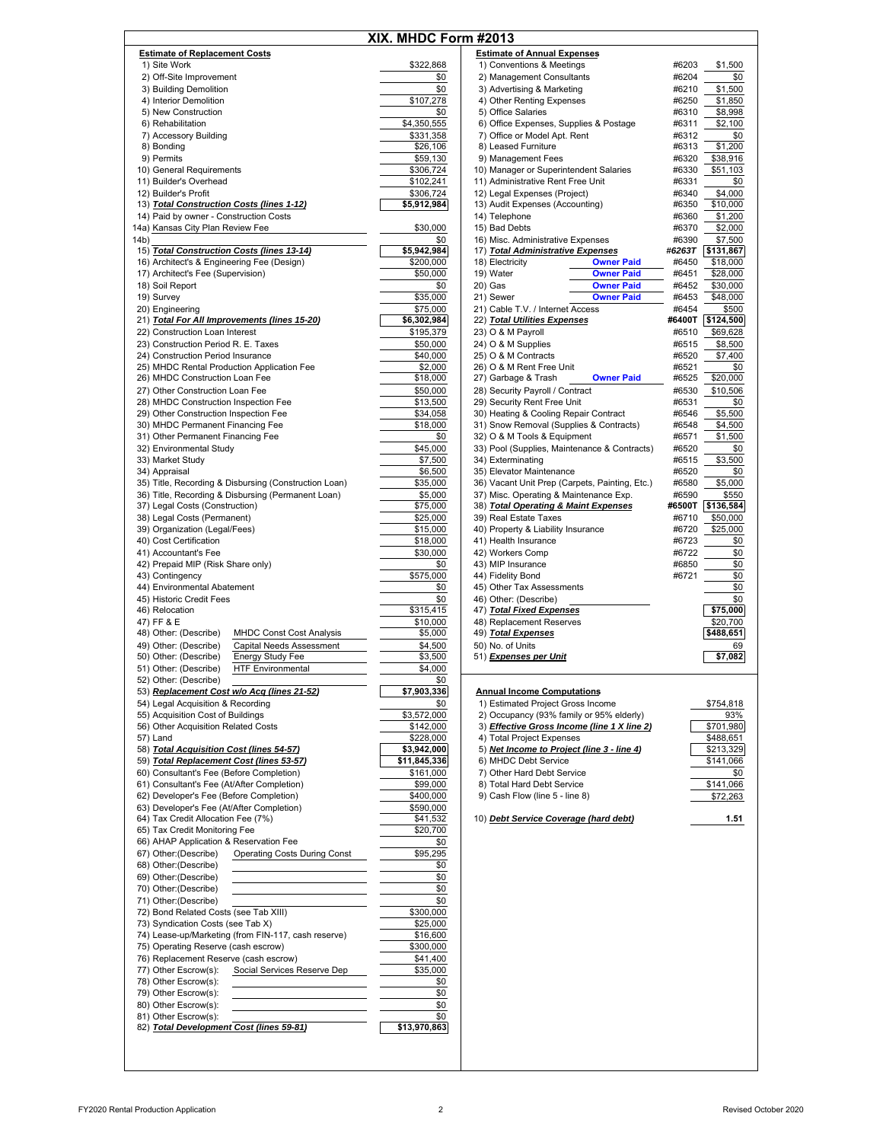|      |                                                              | XIX. MHDC Form #2013    |                                                |        |
|------|--------------------------------------------------------------|-------------------------|------------------------------------------------|--------|
|      | <b>Estimate of Replacement Costs</b>                         |                         | <b>Estimate of Annual Expenses</b>             |        |
|      | 1) Site Work                                                 | \$322,868               | 1) Conventions & Meetings                      | #6203  |
|      | 2) Off-Site Improvement                                      | \$0                     | 2) Management Consultants                      | #6204  |
|      | 3) Building Demolition                                       | \$0                     | 3) Advertising & Marketing                     | #6210  |
|      | 4) Interior Demolition                                       | \$107,278               | 4) Other Renting Expenses                      | #6250  |
|      | 5) New Construction                                          | \$0                     | 5) Office Salaries                             | #6310  |
|      | 6) Rehabilitation                                            | \$4,350,555             | 6) Office Expenses, Supplies & Postage         | #6311  |
|      | 7) Accessory Building                                        | \$331,358               | 7) Office or Model Apt. Rent                   | #6312  |
|      | 8) Bonding                                                   | \$26,106                | 8) Leased Furniture                            | #6313  |
|      | 9) Permits                                                   | \$59,130                | 9) Management Fees                             | #6320  |
|      | 10) General Requirements                                     | \$306,724               | 10) Manager or Superintendent Salaries         | #6330  |
|      | 11) Builder's Overhead                                       | \$102,241               | 11) Administrative Rent Free Unit              | #6331  |
|      | 12) Builder's Profit                                         | \$306,724               | 12) Legal Expenses (Project)                   | #6340  |
|      | 13) Total Construction Costs (lines 1-12)                    | \$5,912,984             | 13) Audit Expenses (Accounting)                | #6350  |
|      | 14) Paid by owner - Construction Costs                       |                         | 14) Telephone                                  | #6360  |
|      | 14a) Kansas City Plan Review Fee                             | \$30,000                | 15) Bad Debts                                  | #6370  |
| 14b) |                                                              | \$0                     | 16) Misc. Administrative Expenses              | #6390  |
|      | 15) Total Construction Costs (lines 13-14)                   | \$5,942,984             | 17) Total Administrative Expenses              | #6263T |
|      | 16) Architect's & Engineering Fee (Design)                   | \$200,000               | 18) Electricity<br><b>Owner Paid</b>           | #6450  |
|      | 17) Architect's Fee (Supervision)                            | \$50,000                | 19) Water<br><b>Owner Paid</b>                 | #6451  |
|      | 18) Soil Report                                              | \$0                     | 20) Gas<br><b>Owner Paid</b>                   | #6452  |
|      | 19) Survey                                                   | \$35,000                | <b>Owner Paid</b><br>21) Sewer                 | #6453  |
|      | 20) Engineering                                              | \$75,000                | 21) Cable T.V. / Internet Access               | #6454  |
|      | 21) Total For All Improvements (lines 15-20)                 | \$6,302,984             | 22) Total Utilities Expenses                   | #6400T |
|      | 22) Construction Loan Interest                               | \$195,379               | 23) O & M Payroll                              | #6510  |
|      | 23) Construction Period R. E. Taxes                          | \$50,000                | 24) O & M Supplies                             | #6515  |
|      | 24) Construction Period Insurance                            | \$40,000                | 25) O & M Contracts                            | #6520  |
|      | 25) MHDC Rental Production Application Fee                   | \$2,000                 | 26) O & M Rent Free Unit                       | #6521  |
|      | 26) MHDC Construction Loan Fee                               | \$18,000                | 27) Garbage & Trash<br><b>Owner Paid</b>       | #6525  |
|      | 27) Other Construction Loan Fee                              | \$50,000                | 28) Security Payroll / Contract                | #6530  |
|      | 28) MHDC Construction Inspection Fee                         | \$13,500                | 29) Security Rent Free Unit                    | #6531  |
|      | 29) Other Construction Inspection Fee                        | \$34,058                | 30) Heating & Cooling Repair Contract          | #6546  |
|      | 30) MHDC Permanent Financing Fee                             | \$18,000                | 31) Snow Removal (Supplies & Contracts)        | #6548  |
|      | 31) Other Permanent Financing Fee                            | \$0                     | 32) O & M Tools & Equipment                    | #6571  |
|      | 32) Environmental Study                                      | \$45,000                | 33) Pool (Supplies, Maintenance & Contracts)   | #6520  |
|      | 33) Market Study                                             | \$7,500                 | 34) Exterminating                              | #6515  |
|      | 34) Appraisal                                                | \$6,500                 | 35) Elevator Maintenance                       | #6520  |
|      | 35) Title, Recording & Disbursing (Construction Loan)        | \$35,000                | 36) Vacant Unit Prep (Carpets, Painting, Etc.) | #6580  |
|      | 36) Title, Recording & Disbursing (Permanent Loan)           | \$5,000                 | 37) Misc. Operating & Maintenance Exp.         | #6590  |
|      | 37) Legal Costs (Construction)                               | \$75,000                | 38) Total Operating & Maint Expenses           | #6500T |
|      | 38) Legal Costs (Permanent)                                  | \$25,000                | 39) Real Estate Taxes                          | #6710  |
|      | 39) Organization (Legal/Fees)                                | \$15,000                | 40) Property & Liability Insurance             | #6720  |
|      | 40) Cost Certification                                       | \$18,000                | 41) Health Insurance                           | #6723  |
|      | 41) Accountant's Fee                                         | \$30,000                | 42) Workers Comp                               | #6722  |
|      | 42) Prepaid MIP (Risk Share only)                            | \$0                     | 43) MIP Insurance                              | #6850  |
|      | 43) Contingency                                              | \$575,000               | 44) Fidelity Bond                              | #6721  |
|      | 44) Environmental Abatement                                  | \$0                     | 45) Other Tax Assessments                      |        |
|      | 45) Historic Credit Fees                                     | \$0                     | 46) Other: (Describe)                          |        |
|      | 46) Relocation                                               | \$315,415               | 47) Total Fixed Expenses                       |        |
|      | 47) FF & E                                                   | \$10,000                | 48) Replacement Reserves                       |        |
|      | 48) Other: (Describe)<br><b>MHDC Const Cost Analysis</b>     | \$5,000                 | 49) Total Expenses                             |        |
|      | 49) Other: (Describe)<br><b>Capital Needs Assessment</b>     | \$4,500                 | 50) No. of Units                               |        |
|      | 50) Other: (Describe)<br><b>Energy Study Fee</b>             | \$3,500                 | 51) Expenses per Unit                          |        |
|      | 51) Other: (Describe)<br><b>HTF Environmental</b>            | \$4,000                 |                                                |        |
|      | 52) Other: (Describe)                                        | \$0                     |                                                |        |
|      | 53) Replacement Cost w/o Acq (lines 21-52)                   | \$7,903,336             | <b>Annual Income Computations</b>              |        |
|      | 54) Legal Acquisition & Recording                            | \$0                     | 1) Estimated Project Gross Income              |        |
|      | 55) Acquisition Cost of Buildings                            | $\overline{$3,572,000}$ | 2) Occupancy (93% family or 95% elderly)       |        |
|      | 56) Other Acquisition Related Costs                          | \$142,000               | 3) Effective Gross Income (line 1 X line 2)    |        |
|      | 57) Land                                                     | \$228,000               | 4) Total Project Expenses                      |        |
|      | 58) Total Acquisition Cost (lines 54-57)                     | \$3,942,000             | 5) Net Income to Project (line 3 - line 4)     |        |
|      | 59) Total Replacement Cost (lines 53-57)                     | \$11,845,336            | 6) MHDC Debt Service                           |        |
|      | 60) Consultant's Fee (Before Completion)                     | \$161,000               | 7) Other Hard Debt Service                     |        |
|      | 61) Consultant's Fee (At/After Completion)                   | \$99,000                | 8) Total Hard Debt Service                     |        |
|      | 62) Developer's Fee (Before Completion)                      | \$400,000               | 9) Cash Flow (line 5 - line 8)                 |        |
|      | 63) Developer's Fee (At/After Completion)                    | \$590,000               |                                                |        |
|      | 64) Tax Credit Allocation Fee (7%)                           | \$41,532                | 10) Debt Service Coverage (hard debt)          |        |
|      | 65) Tax Credit Monitoring Fee                                | \$20,700                |                                                |        |
|      | 66) AHAP Application & Reservation Fee                       | \$0                     |                                                |        |
|      | <b>Operating Costs During Const</b><br>67) Other: (Describe) | \$95,295                |                                                |        |
|      | 68) Other: (Describe)                                        | \$0                     |                                                |        |
|      | 69) Other: (Describe)                                        | \$0                     |                                                |        |
|      | 70) Other: (Describe)                                        | \$0                     |                                                |        |
|      | 71) Other: (Describe)                                        | \$0                     |                                                |        |
|      | 72) Bond Related Costs (see Tab XIII)                        | \$300,000               |                                                |        |
|      | 73) Syndication Costs (see Tab X)                            | \$25,000                |                                                |        |
|      | 74) Lease-up/Marketing (from FIN-117, cash reserve)          | \$16,600                |                                                |        |
|      | 75) Operating Reserve (cash escrow)                          | \$300,000               |                                                |        |
|      | 76) Replacement Reserve (cash escrow)                        | \$41,400                |                                                |        |
|      | Social Services Reserve Dep<br>77) Other Escrow(s):          | \$35,000                |                                                |        |
|      | 78) Other Escrow(s):                                         | \$0                     |                                                |        |
|      | 79) Other Escrow(s):                                         | \$0                     |                                                |        |
|      | 80) Other Escrow(s):                                         | \$0                     |                                                |        |
|      | 81) Other Escrow(s):                                         | \$0                     |                                                |        |
|      | 82) Total Development Cost (lines 59-81)                     | \$13,970,863            |                                                |        |
|      |                                                              |                         |                                                |        |

|                      | HDC Form #2013                                                       |                            |
|----------------------|----------------------------------------------------------------------|----------------------------|
|                      | <b>Estimate of Annual Expenses</b>                                   |                            |
| \$322,868            | 1) Conventions & Meetings                                            | #6203<br>\$1,500           |
| \$0                  | 2) Management Consultants                                            | \$0<br>#6204               |
| \$0                  | 3) Advertising & Marketing                                           | #6210<br>\$1,500           |
| \$107,278            | 4) Other Renting Expenses                                            | #6250<br>\$1,850           |
| \$0                  | 5) Office Salaries                                                   | #6310<br>\$8,998           |
| 1,350,555            | 6) Office Expenses, Supplies & Postage                               | \$2,100<br>#6311           |
| \$331,358            | 7) Office or Model Apt. Rent                                         | #6312<br>\$0               |
| \$26,106             | 8) Leased Furniture                                                  | \$1,200<br>#6313           |
| \$59,130             | 9) Management Fees                                                   | #6320<br>\$38,916          |
| \$306,724            | 10) Manager or Superintendent Salaries                               | #6330<br>\$51,103          |
| \$102,241            | 11) Administrative Rent Free Unit                                    | #6331<br>\$0               |
| \$306,724            | 12) Legal Expenses (Project)                                         | #6340<br>\$4,000           |
| 5,912,984            | 13) Audit Expenses (Accounting)                                      | #6350<br>\$10,000          |
|                      | 14) Telephone                                                        | #6360<br>\$1,200           |
| \$30,000             | 15) Bad Debts                                                        | #6370<br>\$2,000           |
| \$0                  | 16) Misc. Administrative Expenses                                    | #6390<br>\$7,500           |
| 5,942,984            | 17) Total Administrative Expenses                                    | #6263T<br>\$131,867        |
| \$200,000            | 18) Electricity<br><b>Owner Paid</b>                                 | #6450<br>\$18,000          |
| \$50,000             | 19) Water<br><b>Owner Paid</b>                                       | #6451<br>\$28,000          |
| \$0                  | <b>Owner Paid</b><br>20) Gas                                         | #6452<br>\$30,000          |
| \$35,000             | 21) Sewer<br><b>Owner Paid</b>                                       | #6453<br>\$48,000          |
| \$75,000             | 21) Cable T.V. / Internet Access                                     | \$500<br>#6454             |
| 6,302,984            | 22) Total Utilities Expenses                                         | #6400T<br>\$124,500        |
| \$195,379            | 23) O & M Payroll                                                    | #6510<br>\$69,628          |
| \$50,000             | 24) O & M Supplies                                                   | #6515<br>\$8,500           |
| \$40,000             | 25) O & M Contracts                                                  | #6520<br>\$7,400           |
| \$2,000              | 26) O & M Rent Free Unit                                             | #6521<br>\$0               |
| \$18,000             | 27) Garbage & Trash<br><b>Owner Paid</b>                             | #6525<br>\$20,000          |
| \$50,000             | 28) Security Payroll / Contract                                      | \$10,506<br>#6530<br>#6531 |
| \$13,500<br>\$34,058 | 29) Security Rent Free Unit<br>30) Heating & Cooling Repair Contract | \$0<br>#6546<br>\$5,500    |
| \$18,000             | 31) Snow Removal (Supplies & Contracts)                              | #6548<br>\$4,500           |
| \$0                  | 32) O & M Tools & Equipment                                          | #6571<br>\$1,500           |
| \$45,000             | 33) Pool (Supplies, Maintenance & Contracts)                         | #6520<br>\$0               |
| \$7,500              | 34) Exterminating                                                    | #6515<br>\$3,500           |
| \$6,500              | 35) Elevator Maintenance                                             | #6520<br>\$0               |
| \$35,000             | 36) Vacant Unit Prep (Carpets, Painting, Etc.)                       | \$5,000<br>#6580           |
| \$5,000              | 37) Misc. Operating & Maintenance Exp.                               | \$550<br>#6590             |
| \$75,000             | 38) Total Operating & Maint Expenses                                 | #6500T<br>\$136,584        |
| \$25,000             | 39) Real Estate Taxes                                                | #6710<br>\$50,000          |
| \$15,000             | 40) Property & Liability Insurance                                   | #6720<br>\$25,000          |
| \$18,000             | 41) Health Insurance                                                 | #6723<br>\$0               |
| \$30,000             | 42) Workers Comp                                                     | \$0<br>#6722               |
| \$0                  | 43) MIP Insurance                                                    | #6850<br>\$0               |
| \$575,000            | 44) Fidelity Bond                                                    | #6721<br>\$0               |
| \$0                  | 45) Other Tax Assessments                                            | \$0                        |
| \$0                  | 46) Other: (Describe)                                                | \$0                        |
| \$315,415            | 47) Total Fixed Expenses                                             | \$75,000                   |
| \$10,000<br>\$5,000  | 48) Replacement Reserves<br>49) Total Expenses                       | \$20,700<br>\$488,651      |
| \$4,500              | 50) No. of Units                                                     | 69                         |
| \$3,500              | 51) <u>Expenses per Unit</u>                                         | \$7,082                    |
| \$4,000              |                                                                      |                            |
| \$0                  |                                                                      |                            |
| ,903,336             | <b>Annual Income Computations</b>                                    |                            |
| \$0                  | 1) Estimated Project Gross Income                                    | \$754,818                  |
| 3,572,000            | 2) Occupancy (93% family or 95% elderly)                             | 93%                        |
| \$142,000            | 3) Effective Gross Income (line 1 X line 2)                          | \$701,980                  |
| \$228,000            | 4) Total Project Expenses                                            | \$488,651                  |

| 1) Total Project Expenses                  | \$488.651 |
|--------------------------------------------|-----------|
| 5) Net Income to Project (line 3 - line 4) | \$213,329 |
| 6) MHDC Debt Service                       | \$141.066 |
| 7) Other Hard Debt Service                 | \$0       |
| 3) Total Hard Debt Service                 | \$141.066 |
| 3) Cash Flow (line 5 - line 8)             | \$72.263  |

**1.51**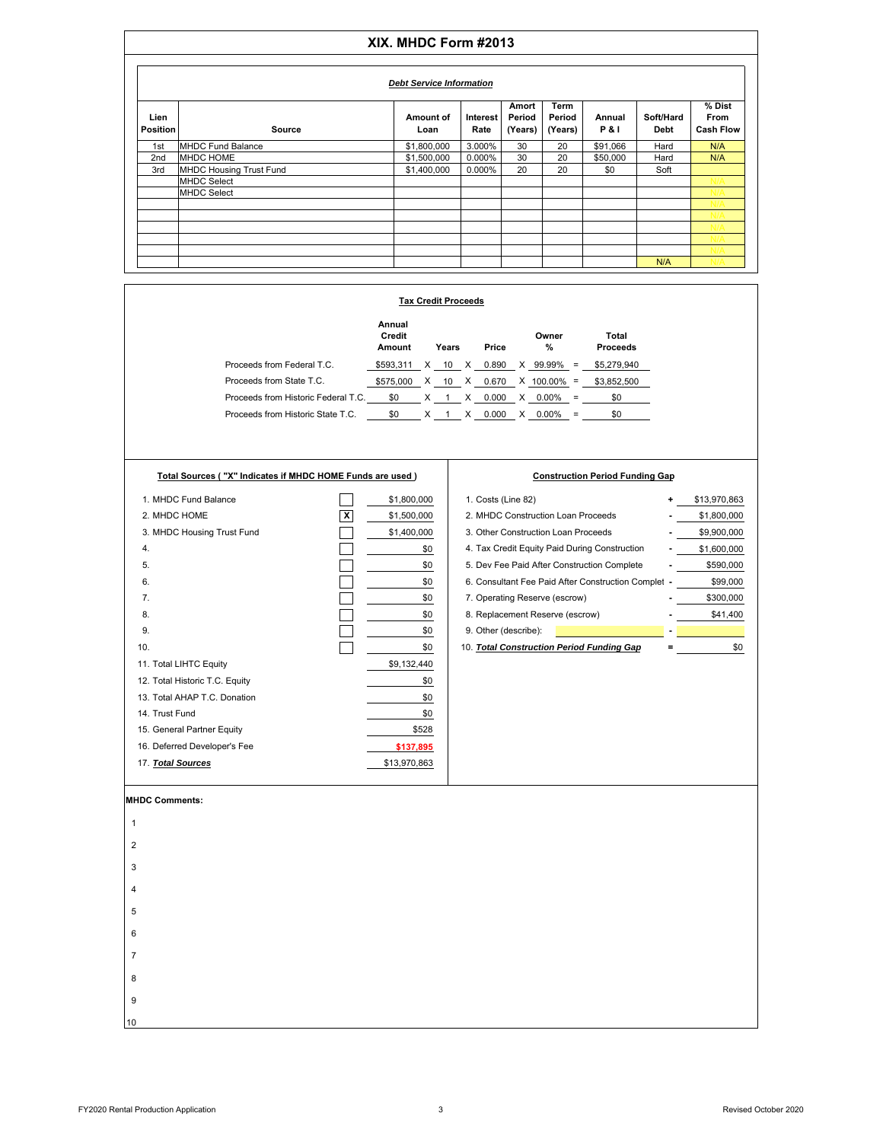## **XIX. MHDC Form #2013**

|                         | <b>Debt Service Information</b> |                   |                  |                            |                           |                          |                   |                                    |  |  |  |  |  |
|-------------------------|---------------------------------|-------------------|------------------|----------------------------|---------------------------|--------------------------|-------------------|------------------------------------|--|--|--|--|--|
| Lien<br><b>Position</b> | Source                          | Amount of<br>Loan | Interest<br>Rate | Amort<br>Period<br>(Years) | Term<br>Period<br>(Years) | Annual<br><b>P&amp;I</b> | Soft/Hard<br>Debt | % Dist<br>From<br><b>Cash Flow</b> |  |  |  |  |  |
| 1st                     | <b>MHDC Fund Balance</b>        | \$1,800,000       | 3.000%           | 30                         | 20                        | \$91,066                 | Hard              | N/A                                |  |  |  |  |  |
| 2 <sub>nd</sub>         | <b>MHDC HOME</b>                | \$1,500,000       | 0.000%           | 30                         | 20                        | \$50,000                 | Hard              | N/A                                |  |  |  |  |  |
| 3rd                     | <b>MHDC Housing Trust Fund</b>  | \$1,400,000       | 0.000%           | 20                         | 20                        | \$0                      | Soft              |                                    |  |  |  |  |  |
|                         | <b>MHDC Select</b>              |                   |                  |                            |                           |                          |                   |                                    |  |  |  |  |  |
|                         | <b>MHDC Select</b>              |                   |                  |                            |                           |                          |                   |                                    |  |  |  |  |  |
|                         |                                 |                   |                  |                            |                           |                          |                   |                                    |  |  |  |  |  |
|                         |                                 |                   |                  |                            |                           |                          |                   |                                    |  |  |  |  |  |
|                         |                                 |                   |                  |                            |                           |                          |                   |                                    |  |  |  |  |  |
|                         |                                 |                   |                  |                            |                           |                          |                   |                                    |  |  |  |  |  |
|                         |                                 |                   |                  |                            |                           |                          |                   |                                    |  |  |  |  |  |
|                         |                                 |                   |                  |                            |                           |                          | N/A               |                                    |  |  |  |  |  |

|                                     | <b>Tax Credit Proceeds</b> |   |       |   |       |   |            |     |                          |  |  |  |  |  |
|-------------------------------------|----------------------------|---|-------|---|-------|---|------------|-----|--------------------------|--|--|--|--|--|
|                                     | Annual<br>Credit<br>Amount |   | Years |   | Price |   | Owner<br>% |     | Total<br><b>Proceeds</b> |  |  |  |  |  |
| Proceeds from Federal T.C.          | \$593.311                  |   | 10    | x | 0.890 | X | 99.99%     | $=$ | \$5,279,940              |  |  |  |  |  |
| Proceeds from State T.C.            | \$575,000                  | X | 10    | X | 0.670 |   | X 100.00%  | $=$ | \$3,852,500              |  |  |  |  |  |
| Proceeds from Historic Federal T.C. | \$0                        | х |       | x | 0.000 | x | 0.00%      | $=$ | \$0                      |  |  |  |  |  |
| Proceeds from Historic State T.C.   | \$0                        |   |       | х | 0.000 | х | $0.00\%$   | $=$ | \$0                      |  |  |  |  |  |

**Total Sources ( "X" Indicates if MHDC HOME Funds are used )**

| Total Sources ("X" Indicates if MHDC HOME Funds are used) |   |             | <b>Construction Period Funding Gap</b>              |   |              |
|-----------------------------------------------------------|---|-------------|-----------------------------------------------------|---|--------------|
| 1. MHDC Fund Balance                                      |   | \$1,800,000 | 1. Costs (Line 82)                                  | ٠ | \$13,970,863 |
| 2. MHDC HOME                                              | x | \$1,500,000 | 2. MHDC Construction Loan Proceeds                  |   | \$1,800,000  |
| 3. MHDC Housing Trust Fund                                |   | \$1,400,000 | 3. Other Construction Loan Proceeds                 |   | \$9,900,000  |
| 4.                                                        |   | \$0         | 4. Tax Credit Equity Paid During Construction       |   | \$1,600,000  |
| 5.                                                        |   | \$0         | 5. Dev Fee Paid After Construction Complete         |   | \$590,000    |
| 6.                                                        |   | \$0         | 6. Consultant Fee Paid After Construction Complet - |   | \$99,000     |
| 7 <sub>1</sub>                                            |   | \$0         | 7. Operating Reserve (escrow)                       |   | \$300,000    |
| 8.                                                        |   | \$0         | 8. Replacement Reserve (escrow)                     |   | \$41,400     |
| 9.                                                        |   | \$0         | 9. Other (describe):                                |   |              |
| 10.                                                       |   | \$0         | 10. Total Construction Period Funding Gap           |   | \$0          |
| 11. Total LIHTC Equity                                    |   | \$9,132,440 |                                                     |   |              |
| 12. Total Historic T.C. Equity                            |   | \$0         |                                                     |   |              |
| 13. Total AHAP T.C. Donation                              |   | \$0         |                                                     |   |              |
| 14. Trust Fund                                            |   | \$0         |                                                     |   |              |

**MHDC Comments:**

14. Trust Fund

15. General Partner Equity 16. Deferred Developer's Fee 17. *Total Sources*



\$528

**\$137,895**

\$13,970,863